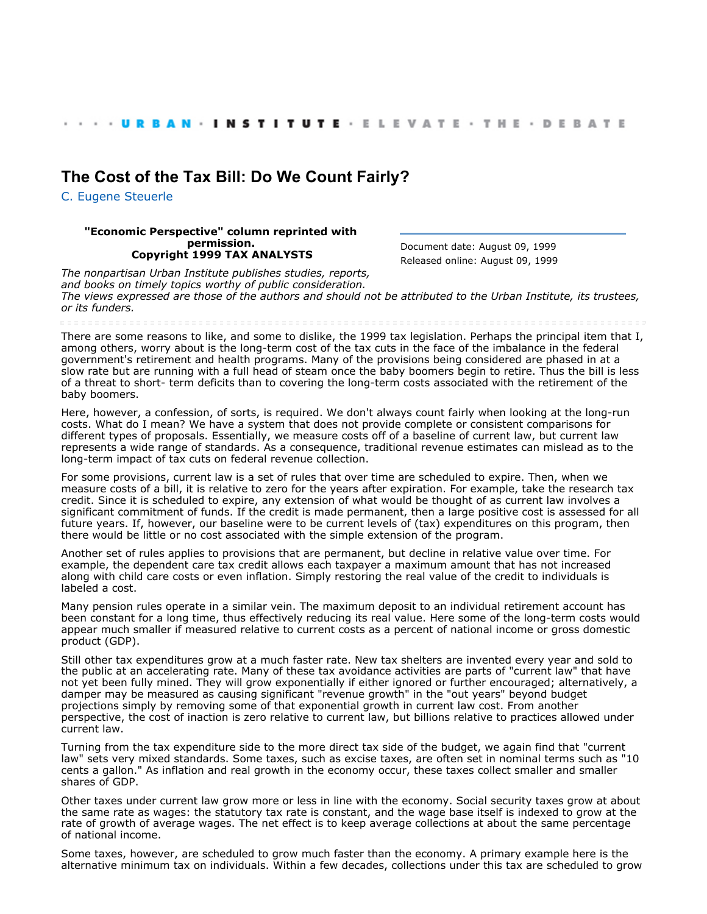## **[The Cost of the Tax Bill: Do We Count Fairly?](http://webarchive.urban.org/index.cfm)**

[C. Eugene Steuerle](http://www.urban.org/CEugeneSteuerle)

## **"Economic Perspective" column reprinted with permission. Copyright 1999 TAX ANALYSTS**

Document date: August 09, 1999 Released online: August 09, 1999

*The nonpartisan Urban Institute publishes studies, reports, and books on timely topics worthy of public consideration. The views expressed are those of the authors and should not be attributed to the Urban Institute, its trustees, or its funders.*

There are some reasons to like, and some to dislike, the 1999 tax legislation. Perhaps the principal item that I, among others, worry about is the long-term cost of the tax cuts in the face of the imbalance in the federal government's retirement and health programs. Many of the provisions being considered are phased in at a slow rate but are running with a full head of steam once the baby boomers begin to retire. Thus the bill is less of a threat to short- term deficits than to covering the long-term costs associated with the retirement of the baby boomers.

Here, however, a confession, of sorts, is required. We don't always count fairly when looking at the long-run costs. What do I mean? We have a system that does not provide complete or consistent comparisons for different types of proposals. Essentially, we measure costs off of a baseline of current law, but current law represents a wide range of standards. As a consequence, traditional revenue estimates can mislead as to the long-term impact of tax cuts on federal revenue collection.

For some provisions, current law is a set of rules that over time are scheduled to expire. Then, when we measure costs of a bill, it is relative to zero for the years after expiration. For example, take the research tax credit. Since it is scheduled to expire, any extension of what would be thought of as current law involves a significant commitment of funds. If the credit is made permanent, then a large positive cost is assessed for all future years. If, however, our baseline were to be current levels of (tax) expenditures on this program, then there would be little or no cost associated with the simple extension of the program.

Another set of rules applies to provisions that are permanent, but decline in relative value over time. For example, the dependent care tax credit allows each taxpayer a maximum amount that has not increased along with child care costs or even inflation. Simply restoring the real value of the credit to individuals is labeled a cost.

Many pension rules operate in a similar vein. The maximum deposit to an individual retirement account has been constant for a long time, thus effectively reducing its real value. Here some of the long-term costs would appear much smaller if measured relative to current costs as a percent of national income or gross domestic product (GDP).

Still other tax expenditures grow at a much faster rate. New tax shelters are invented every year and sold to the public at an accelerating rate. Many of these tax avoidance activities are parts of "current law" that have not yet been fully mined. They will grow exponentially if either ignored or further encouraged; alternatively, a damper may be measured as causing significant "revenue growth" in the "out years" beyond budget projections simply by removing some of that exponential growth in current law cost. From another perspective, the cost of inaction is zero relative to current law, but billions relative to practices allowed under current law.

Turning from the tax expenditure side to the more direct tax side of the budget, we again find that "current law" sets very mixed standards. Some taxes, such as excise taxes, are often set in nominal terms such as "10 cents a gallon." As inflation and real growth in the economy occur, these taxes collect smaller and smaller shares of GDP.

Other taxes under current law grow more or less in line with the economy. Social security taxes grow at about the same rate as wages: the statutory tax rate is constant, and the wage base itself is indexed to grow at the rate of growth of average wages. The net effect is to keep average collections at about the same percentage of national income.

Some taxes, however, are scheduled to grow much faster than the economy. A primary example here is the alternative minimum tax on individuals. Within a few decades, collections under this tax are scheduled to grow